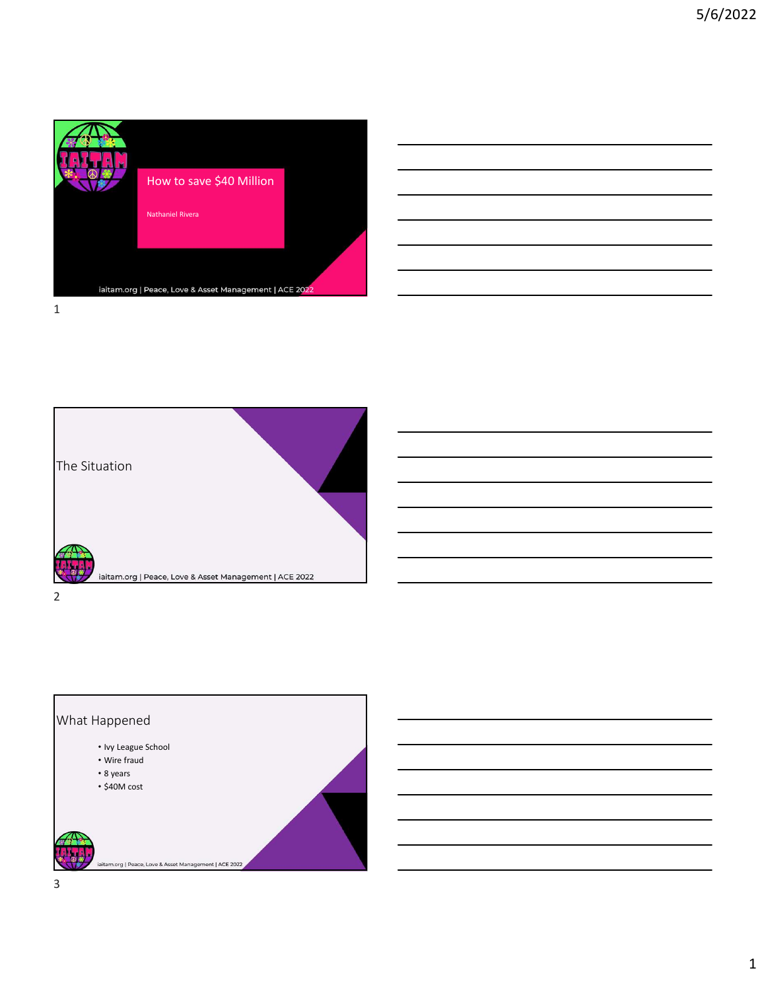

| <u> 1989 - Johann Harry Harry Harry Harry Harry Harry Harry Harry Harry Harry Harry Harry Harry Harry Harry Harry H</u> |  |  |
|-------------------------------------------------------------------------------------------------------------------------|--|--|
|                                                                                                                         |  |  |
|                                                                                                                         |  |  |
|                                                                                                                         |  |  |
| <u> 1988 - Andrea Andrew Maria (h. 1988).</u><br>1906 - Carl Carl Carl Cornelius (h. 1906).                             |  |  |
|                                                                                                                         |  |  |
|                                                                                                                         |  |  |
|                                                                                                                         |  |  |
|                                                                                                                         |  |  |
|                                                                                                                         |  |  |
|                                                                                                                         |  |  |
|                                                                                                                         |  |  |
|                                                                                                                         |  |  |
|                                                                                                                         |  |  |
|                                                                                                                         |  |  |
| <u> 1989 - Andrea Santa Andrea Andrea Andrea Andrea Andrea Andrea Andrea Andrea Andrea Andrea Andrea Andrea Andr</u>    |  |  |
|                                                                                                                         |  |  |
|                                                                                                                         |  |  |
|                                                                                                                         |  |  |
|                                                                                                                         |  |  |
|                                                                                                                         |  |  |
|                                                                                                                         |  |  |
| <u> 1989 - Johann Stoff, amerikansk politiker (d. 1989)</u>                                                             |  |  |



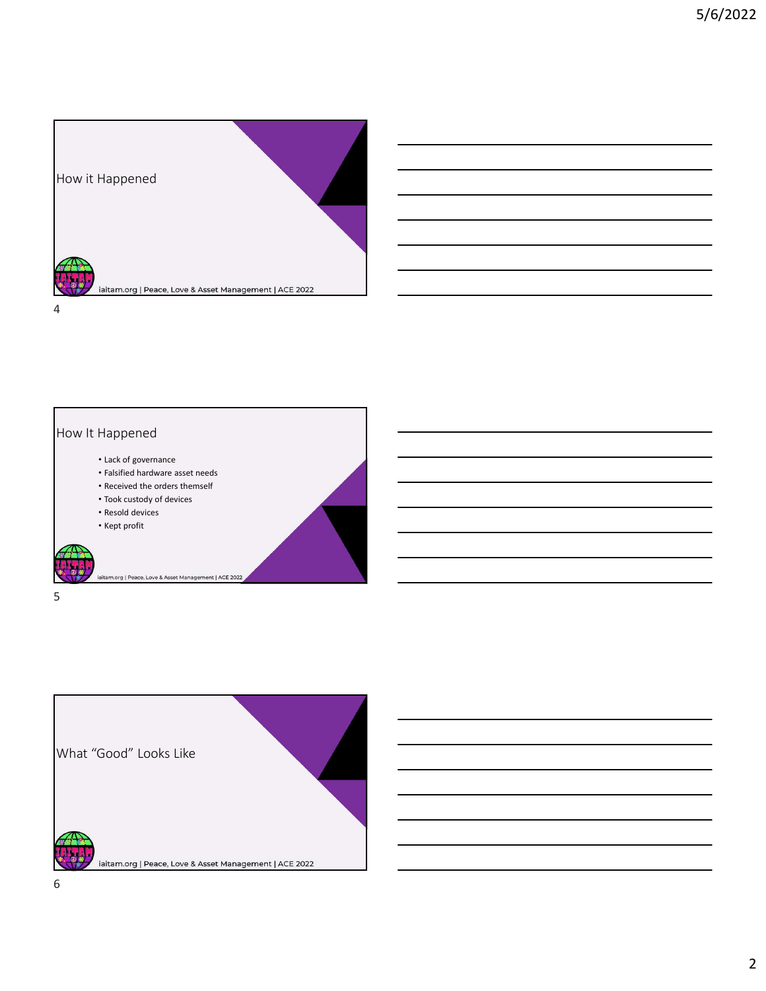





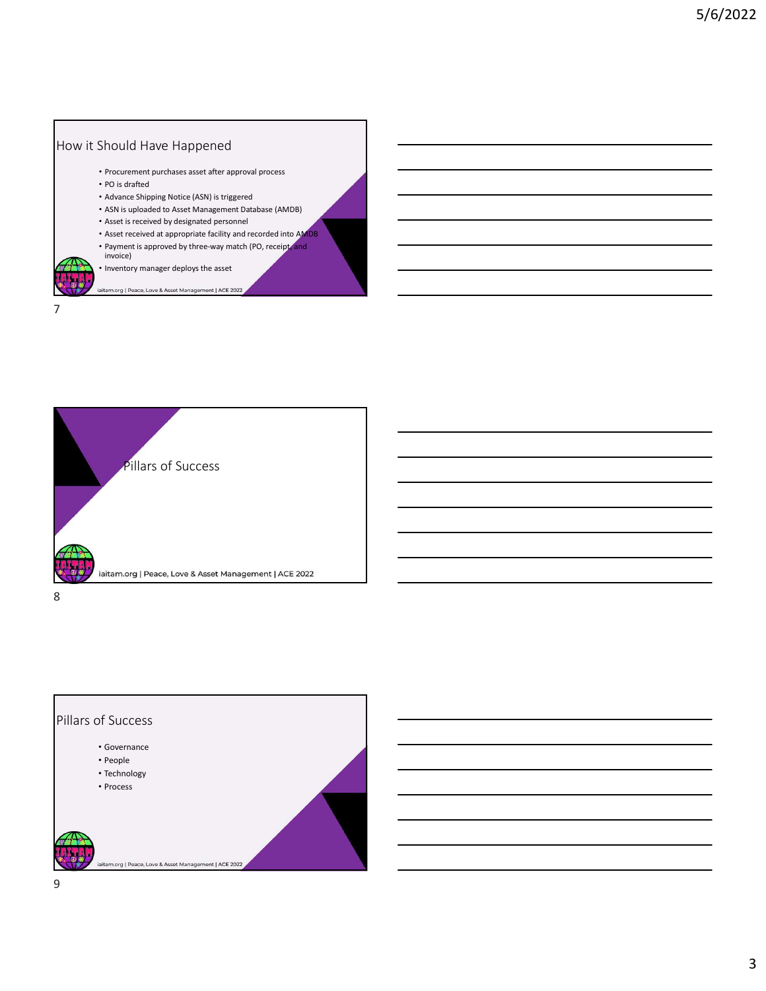



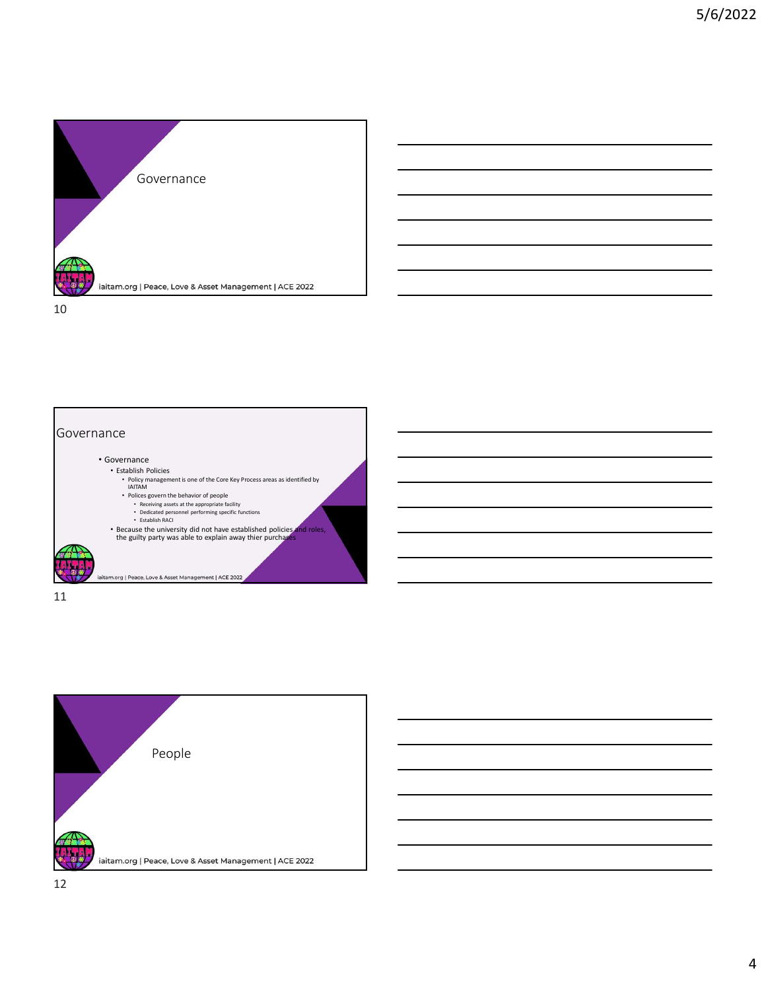



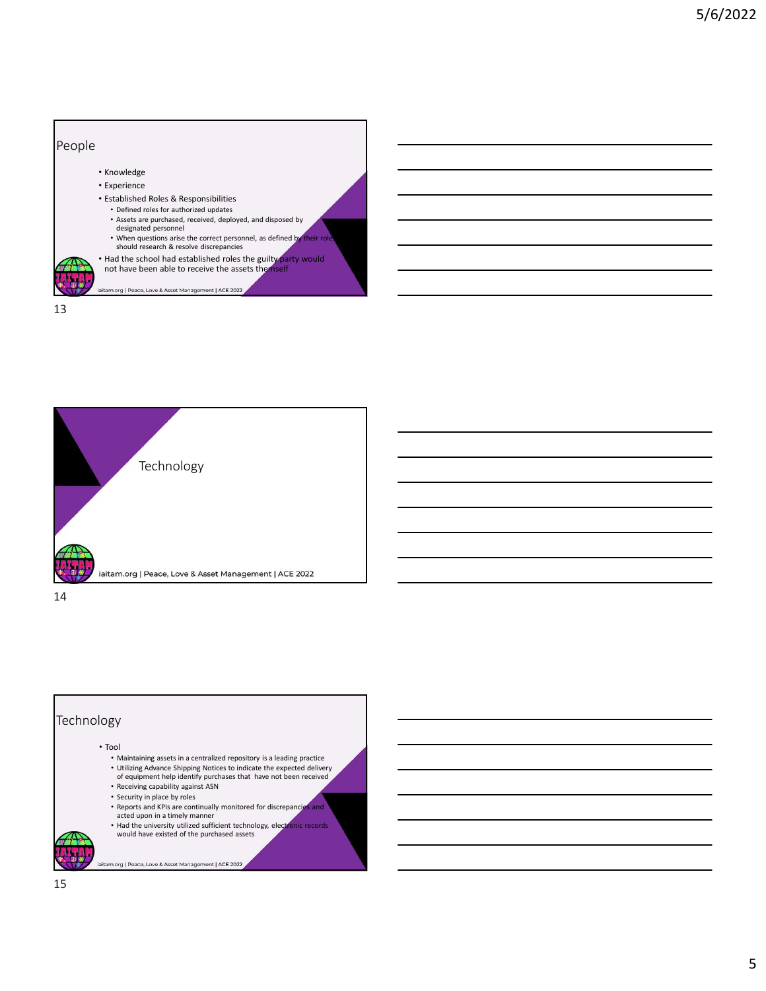

13







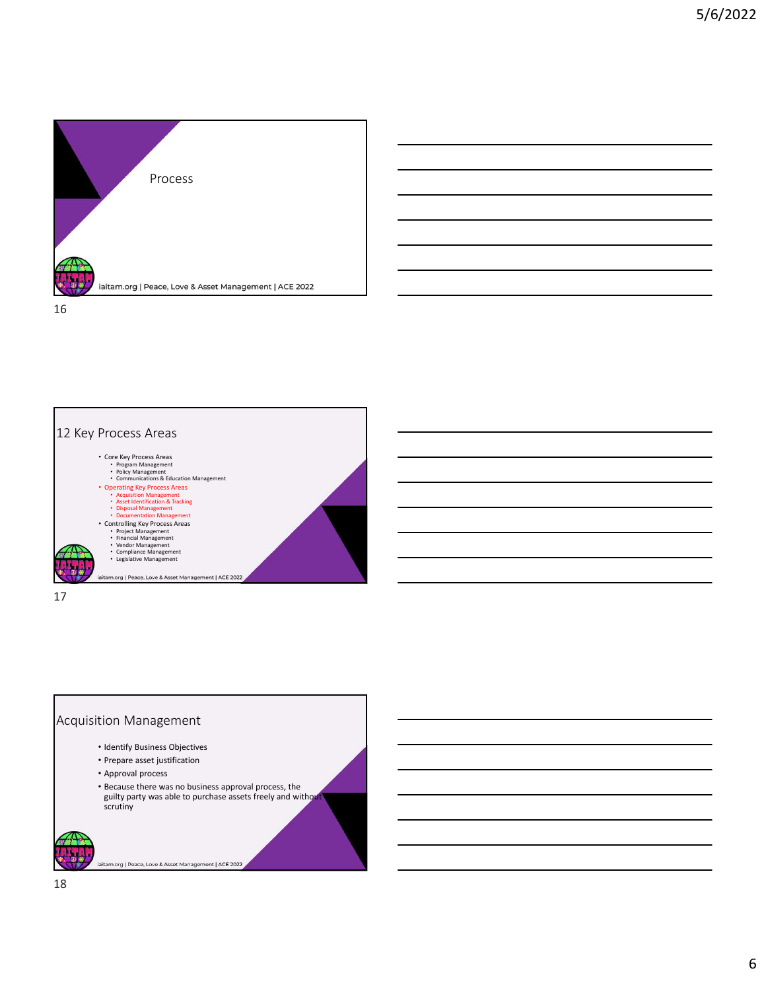



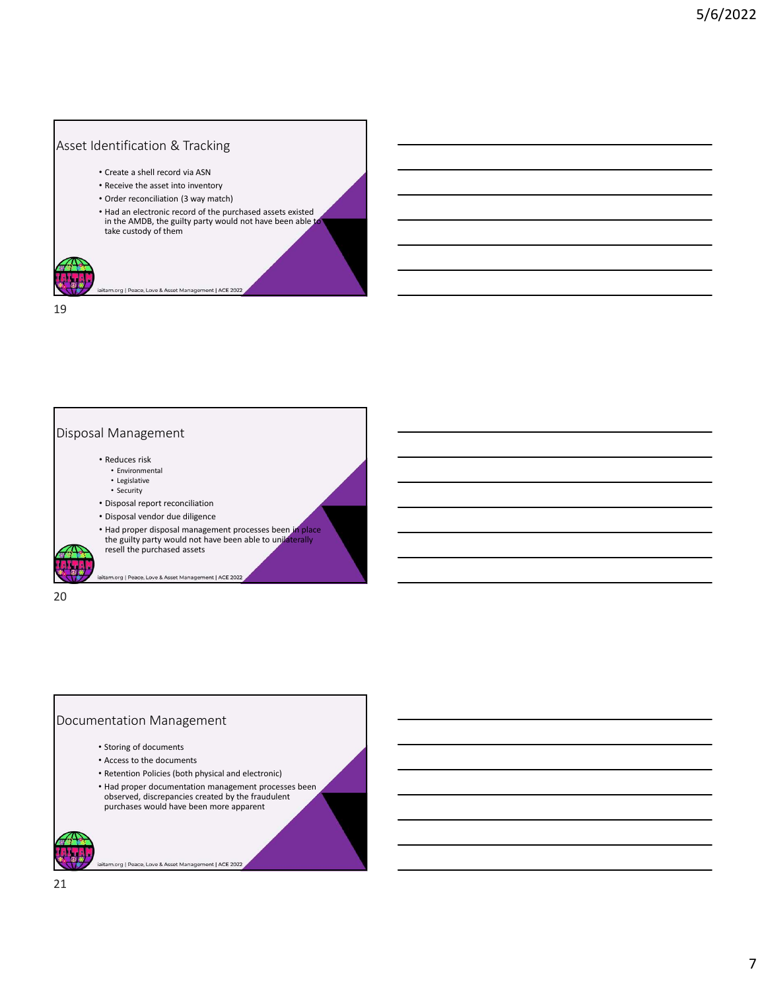## Asset Identification & Tracking

- Create a shell record via ASN
- Receive the asset into inventory
- Order reconciliation (3 way match)
- Had an electronic record of the purchased assets existed in the AMDB, the guilty party would not have been able take custody of them

rg | Peace, Love & As  $1$  ACF 2

19